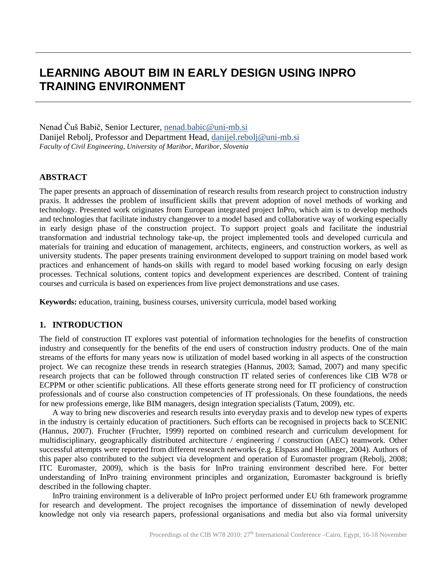# **LEARNING ABOUT BIM IN EARLY DESIGN USING INPRO TRAINING ENVIRONMENT**

Nenad Čuš Babič, Senior Lecturer, nenad.babic@uni-mb.si Danijel Rebolj, Professor and Department Head, [danijel.rebolj@uni-mb.si](mailto:danijel.rebolj@uni-mb.si) *Faculty of Civil Engineering, University of Maribor, Maribor, Slovenia*

### **ABSTRACT**

The paper presents an approach of dissemination of research results from research project to construction industry praxis. It addresses the problem of insufficient skills that prevent adoption of novel methods of working and technology. Presented work originates from European integrated project InPro, which aim is to develop methods and technologies that facilitate industry changeover to a model based and collaborative way of working especially in early design phase of the construction project. To support project goals and facilitate the industrial transformation and industrial technology take-up, the project implemented tools and developed curricula and materials for training and education of management, architects, engineers, and construction workers, as well as university students. The paper presents training environment developed to support training on model based work practices and enhancement of hands-on skills with regard to model based working focusing on early design processes. Technical solutions, content topics and development experiences are described. Content of training courses and curricula is based on experiences from live project demonstrations and use cases.

**Keywords:** education, training, business courses, university curricula, model based working

### **1. INTRODUCTION**

The field of construction IT explores vast potential of information technologies for the benefits of construction industry and consequently for the benefits of the end users of construction industry products. One of the main streams of the efforts for many years now is utilization of model based working in all aspects of the construction project. We can recognize these trends in research strategies (Hannus, 2003; Samad, 2007) and many specific research projects that can be followed through construction IT related series of conferences like CIB W78 or ECPPM or other scientific publications. All these efforts generate strong need for IT proficiency of construction professionals and of course also construction competencies of IT professionals. On these foundations, the needs for new professions emerge, like BIM managers, design integration specialists (Tatum, 2009), etc.

A way to bring new discoveries and research results into everyday praxis and to develop new types of experts in the industry is certainly education of practitioners. Such efforts can be recognised in projects back to SCENIC (Hannus, 2007). Fruchter (Fruchter, 1999) reported on combined research and curriculum development for multidisciplinary, geographically distributed architecture / engineering / construction (AEC) teamwork. Other successful attempts were reported from different research networks (e.g. Elspass and Hollinger, 2004). Authors of this paper also contributed to the subject via development and operation of Euromaster program (Rebolj, 2008; ITC Euromaster, 2009), which is the basis for InPro training environment described here. For better understanding of InPro training environment principles and organization, Euromaster background is briefly described in the following chapter.

InPro training environment is a deliverable of InPro project performed under EU 6th framework programme for research and development. The project recognises the importance of dissemination of newly developed knowledge not only via research papers, professional organisations and media but also via formal university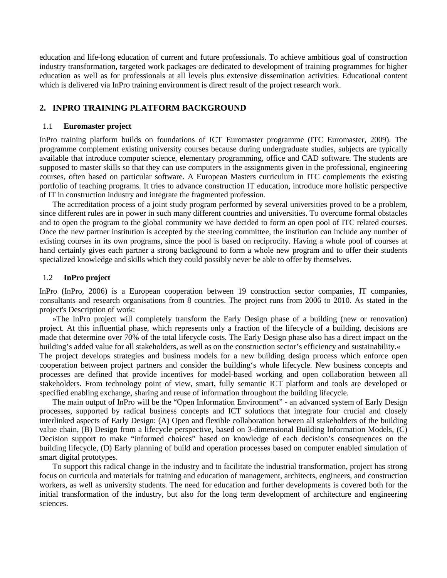education and life-long education of current and future professionals. To achieve ambitious goal of construction industry transformation, targeted work packages are dedicated to development of training programmes for higher education as well as for professionals at all levels plus extensive dissemination activities. Educational content which is delivered via InPro training environment is direct result of the project research work.

### **2. INPRO TRAINING PLATFORM BACKGROUND**

#### 1.1 **Euromaster project**

InPro training platform builds on foundations of ICT Euromaster programme (ITC Euromaster, 2009). The programme complement existing university courses because during undergraduate studies, subjects are typically available that introduce computer science, elementary programming, office and CAD software. The students are supposed to master skills so that they can use computers in the assignments given in the professional, engineering courses, often based on particular software. A European Masters curriculum in ITC complements the existing portfolio of teaching programs. It tries to advance construction IT education, introduce more holistic perspective of IT in construction industry and integrate the fragmented profession.

The accreditation process of a joint study program performed by several universities proved to be a problem, since different rules are in power in such many different countries and universities. To overcome formal obstacles and to open the program to the global community we have decided to form an open pool of ITC related courses. Once the new partner institution is accepted by the steering committee, the institution can include any number of existing courses in its own programs, since the pool is based on reciprocity. Having a whole pool of courses at hand certainly gives each partner a strong background to form a whole new program and to offer their students specialized knowledge and skills which they could possibly never be able to offer by themselves.

### 1.2 **InPro project**

InPro (InPro, 2006) is a European cooperation between 19 construction sector companies, IT companies, consultants and research organisations from 8 countries. The project runs from 2006 to 2010. As stated in the project's Description of work:

»The InPro project will completely transform the Early Design phase of a building (new or renovation) project. At this influential phase, which represents only a fraction of the lifecycle of a building, decisions are made that determine over 70% of the total lifecycle costs. The Early Design phase also has a direct impact on the building's added value for all stakeholders, as well as on the construction sector's efficiency and sustainability.«

The project develops strategies and business models for a new building design process which enforce open cooperation between project partners and consider the building's whole lifecycle. New business concepts and processes are defined that provide incentives for model-based working and open collaboration between all stakeholders. From technology point of view, smart, fully semantic ICT platform and tools are developed or specified enabling exchange, sharing and reuse of information throughout the building lifecycle.

The main output of InPro will be the "Open Information Environment" - an advanced system of Early Design processes, supported by radical business concepts and ICT solutions that integrate four crucial and closely interlinked aspects of Early Design: (A) Open and flexible collaboration between all stakeholders of the building value chain, (B) Design from a lifecycle perspective, based on 3-dimensional Building Information Models, (C) Decision support to make "informed choices" based on knowledge of each decision's consequences on the building lifecycle, (D) Early planning of build and operation processes based on computer enabled simulation of smart digital prototypes.

To support this radical change in the industry and to facilitate the industrial transformation, project has strong focus on curricula and materials for training and education of management, architects, engineers, and construction workers, as well as university students. The need for education and further developments is covered both for the initial transformation of the industry, but also for the long term development of architecture and engineering sciences.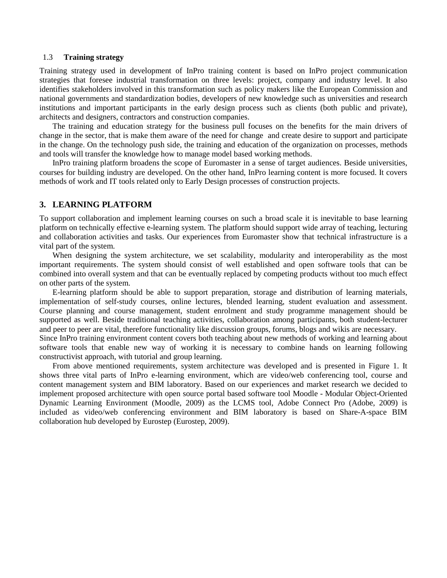### 1.3 **Training strategy**

Training strategy used in development of InPro training content is based on InPro project communication strategies that foresee industrial transformation on three levels: project, company and industry level. It also identifies stakeholders involved in this transformation such as policy makers like the European Commission and national governments and standardization bodies, developers of new knowledge such as universities and research institutions and important participants in the early design process such as clients (both public and private), architects and designers, contractors and construction companies.

The training and education strategy for the business pull focuses on the benefits for the main drivers of change in the sector, that is make them aware of the need for change and create desire to support and participate in the change. On the technology push side, the training and education of the organization on processes, methods and tools will transfer the knowledge how to manage model based working methods.

InPro training platform broadens the scope of Euromaster in a sense of target audiences. Beside universities, courses for building industry are developed. On the other hand, InPro learning content is more focused. It covers methods of work and IT tools related only to Early Design processes of construction projects.

### **3. LEARNING PLATFORM**

To support collaboration and implement learning courses on such a broad scale it is inevitable to base learning platform on technically effective e-learning system. The platform should support wide array of teaching, lecturing and collaboration activities and tasks. Our experiences from Euromaster show that technical infrastructure is a vital part of the system.

When designing the system architecture, we set scalability, modularity and interoperability as the most important requirements. The system should consist of well established and open software tools that can be combined into overall system and that can be eventually replaced by competing products without too much effect on other parts of the system.

E-learning platform should be able to support preparation, storage and distribution of learning materials, implementation of self-study courses, online lectures, blended learning, student evaluation and assessment. Course planning and course management, student enrolment and study programme management should be supported as well. Beside traditional teaching activities, collaboration among participants, both student-lecturer and peer to peer are vital, therefore functionality like discussion groups, forums, blogs and wikis are necessary.

Since InPro training environment content covers both teaching about new methods of working and learning about software tools that enable new way of working it is necessary to combine hands on learning following constructivist approach, with tutorial and group learning.

From above mentioned requirements, system architecture was developed and is presented in Figure 1. It shows three vital parts of InPro e-learning environment, which are video/web conferencing tool, course and content management system and BIM laboratory. Based on our experiences and market research we decided to implement proposed architecture with open source portal based software tool Moodle - Modular Object-Oriented Dynamic Learning Environment (Moodle, 2009) as the LCMS tool, Adobe Connect Pro (Adobe, 2009) is included as video/web conferencing environment and BIM laboratory is based on Share-A-space BIM collaboration hub developed by Eurostep (Eurostep, 2009).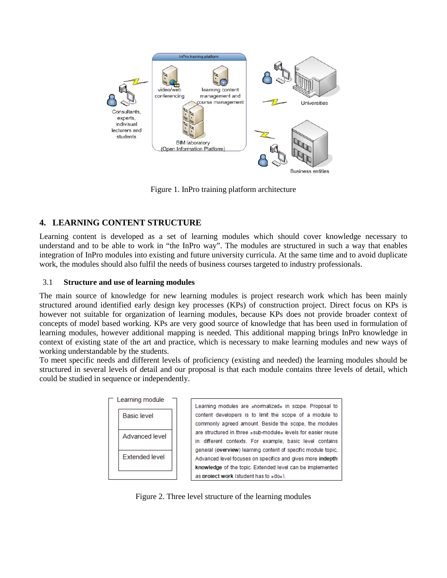

Figure 1. InPro training platform architecture

# **4. LEARNING CONTENT STRUCTURE**

Learning content is developed as a set of learning modules which should cover knowledge necessary to understand and to be able to work in "the InPro way". The modules are structured in such a way that enables integration of InPro modules into existing and future university curricula. At the same time and to avoid duplicate work, the modules should also fulfil the needs of business courses targeted to industry professionals.

### 3.1 **Structure and use of learning modules**

The main source of knowledge for new learning modules is project research work which has been mainly structured around identified early design key processes (KPs) of construction project. Direct focus on KPs is however not suitable for organization of learning modules, because KPs does not provide broader context of concepts of model based working. KPs are very good source of knowledge that has been used in formulation of learning modules, however additional mapping is needed. This additional mapping brings InPro knowledge in context of existing state of the art and practice, which is necessary to make learning modules and new ways of working understandable by the students.

To meet specific needs and different levels of proficiency (existing and needed) the learning modules should be structured in several levels of detail and our proposal is that each module contains three levels of detail, which could be studied in sequence or independently.



Figure 2. Three level structure of the learning modules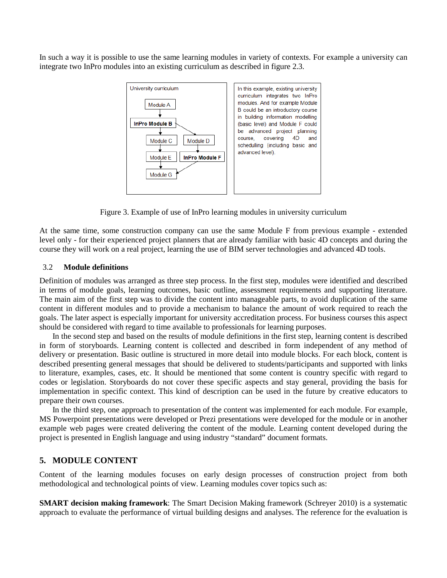In such a way it is possible to use the same learning modules in variety of contexts. For example a university can integrate two InPro modules into an existing curriculum as described in figure 2.3.



Figure 3. Example of use of InPro learning modules in university curriculum

At the same time, some construction company can use the same Module F from previous example - extended level only - for their experienced project planners that are already familiar with basic 4D concepts and during the course they will work on a real project, learning the use of BIM server technologies and advanced 4D tools.

### 3.2 **Module definitions**

Definition of modules was arranged as three step process. In the first step, modules were identified and described in terms of module goals, learning outcomes, basic outline, assessment requirements and supporting literature. The main aim of the first step was to divide the content into manageable parts, to avoid duplication of the same content in different modules and to provide a mechanism to balance the amount of work required to reach the goals. The later aspect is especially important for university accreditation process. For business courses this aspect should be considered with regard to time available to professionals for learning purposes.

In the second step and based on the results of module definitions in the first step, learning content is described in form of storyboards. Learning content is collected and described in form independent of any method of delivery or presentation. Basic outline is structured in more detail into module blocks. For each block, content is described presenting general messages that should be delivered to students/participants and supported with links to literature, examples, cases, etc. It should be mentioned that some content is country specific with regard to codes or legislation. Storyboards do not cover these specific aspects and stay general, providing the basis for implementation in specific context. This kind of description can be used in the future by creative educators to prepare their own courses.

In the third step, one approach to presentation of the content was implemented for each module. For example, MS Powerpoint presentations were developed or Prezi presentations were developed for the module or in another example web pages were created delivering the content of the module. Learning content developed during the project is presented in English language and using industry "standard" document formats.

### **5. MODULE CONTENT**

Content of the learning modules focuses on early design processes of construction project from both methodological and technological points of view. Learning modules cover topics such as:

**SMART decision making framework**: The Smart Decision Making framework (Schreyer 2010) is a systematic approach to evaluate the performance of virtual building designs and analyses. The reference for the evaluation is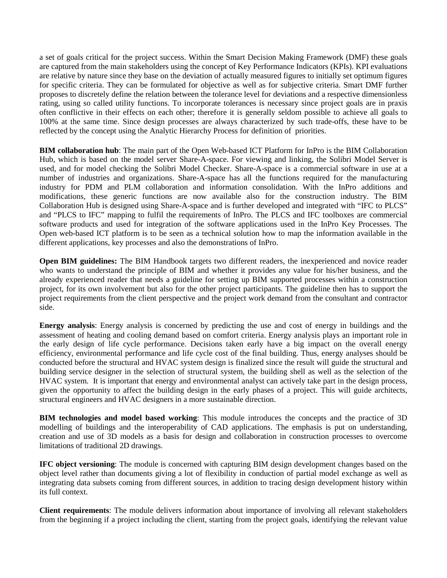a set of goals critical for the project success. Within the Smart Decision Making Framework (DMF) these goals are captured from the main stakeholders using the concept of Key Performance Indicators (KPIs). KPI evaluations are relative by nature since they base on the deviation of actually measured figures to initially set optimum figures for specific criteria. They can be formulated for objective as well as for subjective criteria. Smart DMF further proposes to discretely define the relation between the tolerance level for deviations and a respective dimensionless rating, using so called utility functions. To incorporate tolerances is necessary since project goals are in praxis often conflictive in their effects on each other; therefore it is generally seldom possible to achieve all goals to 100% at the same time. Since design processes are always characterized by such trade-offs, these have to be reflected by the concept using the Analytic Hierarchy Process for definition of priorities.

**BIM collaboration hub**: The main part of the Open Web-based ICT Platform for InPro is the BIM Collaboration Hub, which is based on the model server Share-A-space. For viewing and linking, the Solibri Model Server is used, and for model checking the Solibri Model Checker. Share-A-space is a commercial software in use at a number of industries and organizations. Share-A-space has all the functions required for the manufacturing industry for PDM and PLM collaboration and information consolidation. With the InPro additions and modifications, these generic functions are now available also for the construction industry. The BIM Collaboration Hub is designed using Share-A-space and is further developed and integrated with "IFC to PLCS" and "PLCS to IFC" mapping to fulfil the requirements of InPro. The PLCS and IFC toolboxes are commercial software products and used for integration of the software applications used in the InPro Key Processes. The Open web-based ICT platform is to be seen as a technical solution how to map the information available in the different applications, key processes and also the demonstrations of InPro.

**Open BIM guidelines:** The BIM Handbook targets two different readers, the inexperienced and novice reader who wants to understand the principle of BIM and whether it provides any value for his/her business, and the already experienced reader that needs a guideline for setting up BIM supported processes within a construction project, for its own involvement but also for the other project participants. The guideline then has to support the project requirements from the client perspective and the project work demand from the consultant and contractor side.

**Energy analysis**: Energy analysis is concerned by predicting the use and cost of energy in buildings and the assessment of heating and cooling demand based on comfort criteria. Energy analysis plays an important role in the early design of life cycle performance. Decisions taken early have a big impact on the overall energy efficiency, environmental performance and life cycle cost of the final building. Thus, energy analyses should be conducted before the structural and HVAC system design is finalized since the result will guide the structural and building service designer in the selection of structural system, the building shell as well as the selection of the HVAC system. It is important that energy and environmental analyst can actively take part in the design process, given the opportunity to affect the building design in the early phases of a project. This will guide architects, structural engineers and HVAC designers in a more sustainable direction.

**BIM technologies and model based working**: This module introduces the concepts and the practice of 3D modelling of buildings and the interoperability of CAD applications. The emphasis is put on understanding, creation and use of 3D models as a basis for design and collaboration in construction processes to overcome limitations of traditional 2D drawings.

**IFC object versioning**: The module is concerned with capturing BIM design development changes based on the object level rather than documents giving a lot of flexibility in conduction of partial model exchange as well as integrating data subsets coming from different sources, in addition to tracing design development history within its full context.

**Client requirements**: The module delivers information about importance of involving all relevant stakeholders from the beginning if a project including the client, starting from the project goals, identifying the relevant value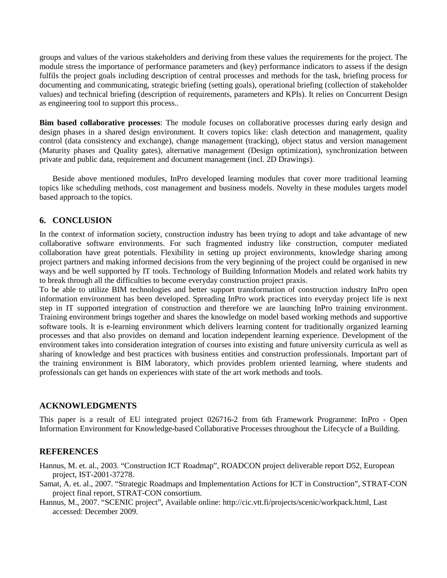groups and values of the various stakeholders and deriving from these values the requirements for the project. The module stress the importance of performance parameters and (key) performance indicators to assess if the design fulfils the project goals including description of central processes and methods for the task, briefing process for documenting and communicating, strategic briefing (setting goals), operational briefing (collection of stakeholder values) and technical briefing (description of requirements, parameters and KPIs). It relies on Concurrent Design as engineering tool to support this process..

**Bim based collaborative processes**: The module focuses on collaborative processes during early design and design phases in a shared design environment. It covers topics like: clash detection and management, quality control (data consistency and exchange), change management (tracking), object status and version management (Maturity phases and Quality gates), alternative management (Design optimization), synchronization between private and public data, requirement and document management (incl. 2D Drawings).

Beside above mentioned modules, InPro developed learning modules that cover more traditional learning topics like scheduling methods, cost management and business models. Novelty in these modules targets model based approach to the topics.

# **6. CONCLUSION**

In the context of information society, construction industry has been trying to adopt and take advantage of new collaborative software environments. For such fragmented industry like construction, computer mediated collaboration have great potentials. Flexibility in setting up project environments, knowledge sharing among project partners and making informed decisions from the very beginning of the project could be organised in new ways and be well supported by IT tools. Technology of Building Information Models and related work habits try to break through all the difficulties to become everyday construction project praxis.

To be able to utilize BIM technologies and better support transformation of construction industry InPro open information environment has been developed. Spreading InPro work practices into everyday project life is next step in IT supported integration of construction and therefore we are launching InPro training environment. Training environment brings together and shares the knowledge on model based working methods and supportive software tools. It is e-learning environment which delivers learning content for traditionally organized learning processes and that also provides on demand and location independent learning experience. Development of the environment takes into consideration integration of courses into existing and future university curricula as well as sharing of knowledge and best practices with business entities and construction professionals. Important part of the training environment is BIM laboratory, which provides problem oriented learning, where students and professionals can get hands on experiences with state of the art work methods and tools.

# **ACKNOWLEDGMENTS**

This paper is a result of EU integrated project 026716-2 from 6th Framework Programme: InPro - Open Information Environment for Knowledge-based Collaborative Processes throughout the Lifecycle of a Building.

# **REFERENCES**

- Hannus, M. et. al., 2003. "Construction ICT Roadmap", ROADCON project deliverable report D52, European project, IST-2001-37278.
- Samat, A. et. al., 2007. "Strategic Roadmaps and Implementation Actions for ICT in Construction", STRAT-CON project final report, STRAT-CON consortium.
- Hannus, M., 2007. "SCENIC project", Available online: http://cic.vtt.fi/projects/scenic/workpack.html, Last accessed: December 2009.